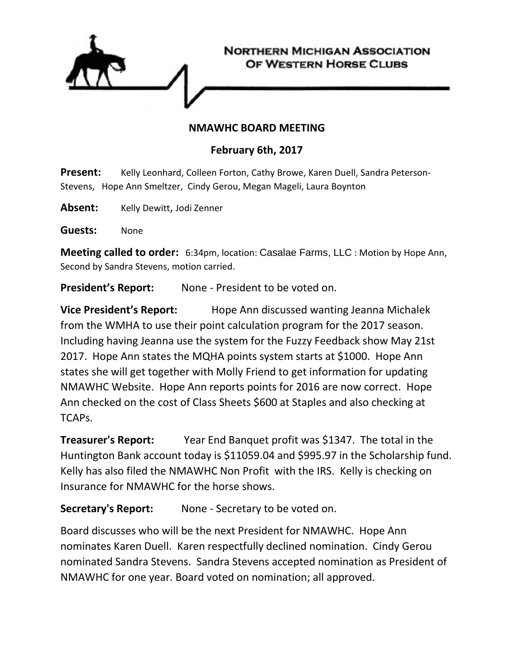

## **NMAWHC BOARD MEETING**

## **February 6th, 2017**

**Present:** Kelly Leonhard, Colleen Forton, Cathy Browe, Karen Duell, Sandra Peterson-Stevens, Hope Ann Smeltzer, Cindy Gerou, Megan Mageli, Laura Boynton

Absent: Kelly Dewitt, Jodi Zenner

**Guests:** None

**Meeting called to order:** 6:34pm, location: Casalae Farms, LLC : Motion by Hope Ann, Second by Sandra Stevens, motion carried.

**President's Report:** None - President to be voted on.

**Vice President's Report:** Hope Ann discussed wanting Jeanna Michalek from the WMHA to use their point calculation program for the 2017 season. Including having Jeanna use the system for the Fuzzy Feedback show May 21st 2017. Hope Ann states the MQHA points system starts at \$1000. Hope Ann states she will get together with Molly Friend to get information for updating NMAWHC Website. Hope Ann reports points for 2016 are now correct. Hope Ann checked on the cost of Class Sheets \$600 at Staples and also checking at TCAPs.

**Treasurer's Report:** Year End Banquet profit was \$1347. The total in the Huntington Bank account today is \$11059.04 and \$995.97 in the Scholarship fund. Kelly has also filed the NMAWHC Non Profit with the IRS. Kelly is checking on Insurance for NMAWHC for the horse shows.

## **Secretary's Report:** None - Secretary to be voted on.

Board discusses who will be the next President for NMAWHC. Hope Ann nominates Karen Duell. Karen respectfully declined nomination. Cindy Gerou nominated Sandra Stevens. Sandra Stevens accepted nomination as President of NMAWHC for one year. Board voted on nomination; all approved.